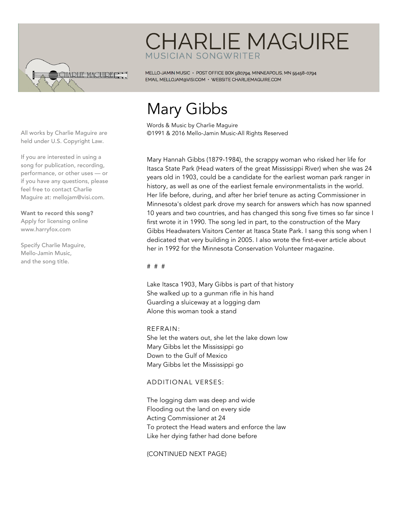

## **CHARLIE MAGUIRE** MUSICIAN SONGWRITER

MELLO-JAMIN MUSIC · POST OFFICE BOX 580794, MINNEAPOLIS, MN 55458-0794 EMAIL MELLOJAM@VISI.COM · WEBSITE CHARLIEMAGUIRE.COM

# Mary Gibbs

Words & Music by Charlie Maguire ©1991 & 2016 Mello-Jamin Music-All Rights Reserved

Mary Hannah Gibbs (1879-1984), the scrappy woman who risked her life for Itasca State Park (Head waters of the great Mississippi River) when she was 24 years old in 1903, could be a candidate for the earliest woman park ranger in history, as well as one of the earliest female environmentalists in the world. Her life before, during, and after her brief tenure as acting Commissioner in Minnesota's oldest park drove my search for answers which has now spanned 10 years and two countries, and has changed this song five times so far since I first wrote it in 1990. The song led in part, to the construction of the Mary Gibbs Headwaters Visitors Center at Itasca State Park. I sang this song when I dedicated that very building in 2005. I also wrote the first-ever article about her in 1992 for the Minnesota Conservation Volunteer magazine.

#### # # #

Lake Itasca 1903, Mary Gibbs is part of that history She walked up to a gunman rifle in his hand Guarding a sluiceway at a logging dam Alone this woman took a stand

#### REFRAIN:

She let the waters out, she let the lake down low Mary Gibbs let the Mississippi go Down to the Gulf of Mexico Mary Gibbs let the Mississippi go

#### ADDITIONAL VERSES:

The logging dam was deep and wide Flooding out the land on every side Acting Commissioner at 24 To protect the Head waters and enforce the law Like her dying father had done before

(CONTINUED NEXT PAGE)

All works by Charlie Maguire are held under U.S. Copyright Law.

If you are interested in using a song for publication, recording, performance, or other uses — or if you have any questions, please feel free to contact Charlie Maguire at: mellojam@visi.com.

Want to record this song? Apply for licensing online www.harryfox.com

Specify Charlie Maguire, Mello-Jamin Music, and the song title.